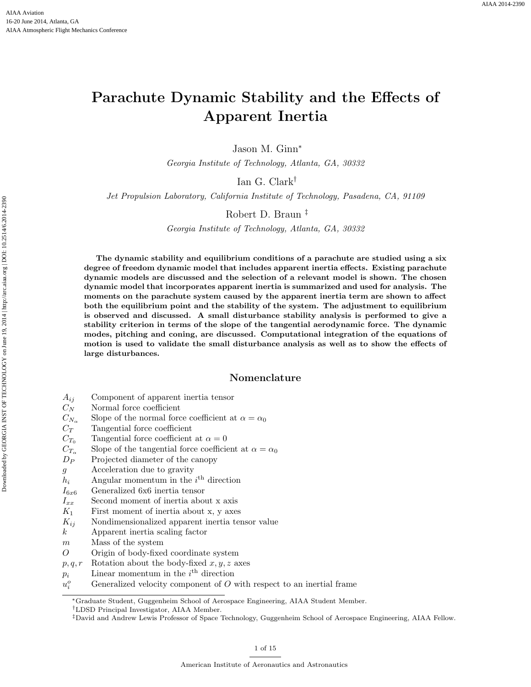# Parachute Dynamic Stability and the Effects of Apparent Inertia

Jason M. Ginn<sup>∗</sup>

Georgia Institute of Technology, Atlanta, GA, 30332

Ian G. Clark†

Jet Propulsion Laboratory, California Institute of Technology, Pasadena, CA, 91109

# Robert D. Braun ‡

Georgia Institute of Technology, Atlanta, GA, 30332

The dynamic stability and equilibrium conditions of a parachute are studied using a six degree of freedom dynamic model that includes apparent inertia effects. Existing parachute dynamic models are discussed and the selection of a relevant model is shown. The chosen dynamic model that incorporates apparent inertia is summarized and used for analysis. The moments on the parachute system caused by the apparent inertia term are shown to affect both the equilibrium point and the stability of the system. The adjustment to equilibrium is observed and discussed. A small disturbance stability analysis is performed to give a stability criterion in terms of the slope of the tangential aerodynamic force. The dynamic modes, pitching and coning, are discussed. Computational integration of the equations of motion is used to validate the small disturbance analysis as well as to show the effects of large disturbances.

### Nomenclature

- $A_{ij}$  Component of apparent inertia tensor
- $C_N$  Normal force coefficient
- $C_{N_{\alpha}}$  Slope of the normal force coefficient at  $\alpha = \alpha_0$
- $C_T$  Tangential force coefficient
- $C_{T_0}$  Tangential force coefficient at  $\alpha = 0$
- $C_{T_{\alpha}}$  Slope of the tangential force coefficient at  $\alpha = \alpha_0$
- $D_P$  Projected diameter of the canopy
- g Acceleration due to gravity
- $h_i$  Angular momentum in the  $i^{\text{th}}$  direction
- $I_{6x6}$  Generalized 6x6 inertia tensor
- $I_{xx}$  Second moment of inertia about x axis
- 
- $K_1$  First moment of inertia about x, y axes<br> $K_{ij}$  Nondimensionalized apparent inertia ter Nondimensionalized apparent inertia tensor value
- k Apparent inertia scaling factor
- m Mass of the system
- O Origin of body-fixed coordinate system
- $p, q, r$  Rotation about the body-fixed  $x, y, z$  axes
- $p_i$  Linear momentum in the  $i^{\text{th}}$  direction
- $u_i^o$ Generalized velocity component of  $O$  with respect to an inertial frame

†LDSD Principal Investigator, AIAA Member.

<sup>∗</sup>Graduate Student, Guggenheim School of Aerospace Engineering, AIAA Student Member.

<sup>‡</sup>David and Andrew Lewis Professor of Space Technology, Guggenheim School of Aerospace Engineering, AIAA Fellow.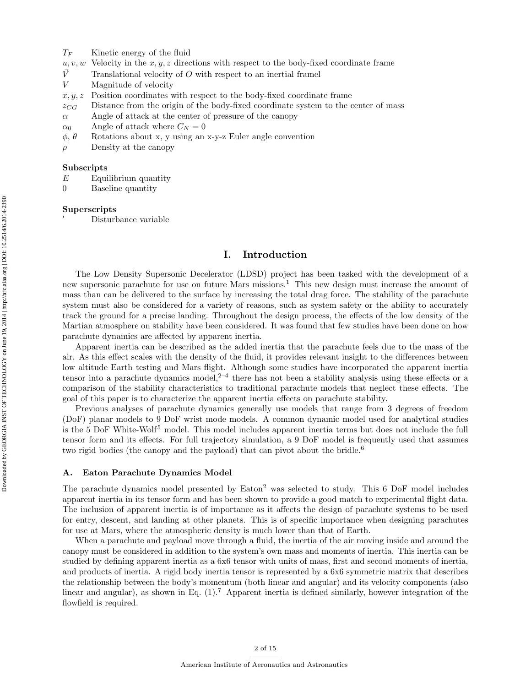- $T_F$  Kinetic energy of the fluid
- $u, v, w$  Velocity in the x, y, z directions with respect to the body-fixed coordinate frame
- $\vec{V}$  Translational velocity of O with respect to an inertial framel
- V Magnitude of velocity
- $x, y, z$  Position coordinates with respect to the body-fixed coordinate frame
- $z_{CG}$  Distance from the origin of the body-fixed coordinate system to the center of mass
- $\alpha$  Angle of attack at the center of pressure of the canopy
- $\alpha_0$  Angle of attack where  $C_N = 0$
- $\phi$ ,  $\theta$  Rotations about x, y using an x-y-z Euler angle convention
- $\rho$  Density at the canopy

#### Subscripts

- $E$  Equilibrium quantity
- 0 Baseline quantity

#### Superscripts

<sup>0</sup> Disturbance variable

# I. Introduction

The Low Density Supersonic Decelerator (LDSD) project has been tasked with the development of a new supersonic parachute for use on future Mars missions.<sup>1</sup> This new design must increase the amount of mass than can be delivered to the surface by increasing the total drag force. The stability of the parachute system must also be considered for a variety of reasons, such as system safety or the ability to accurately track the ground for a precise landing. Throughout the design process, the effects of the low density of the Martian atmosphere on stability have been considered. It was found that few studies have been done on how parachute dynamics are affected by apparent inertia.

Apparent inertia can be described as the added inertia that the parachute feels due to the mass of the air. As this effect scales with the density of the fluid, it provides relevant insight to the differences between low altitude Earth testing and Mars flight. Although some studies have incorporated the apparent inertia tensor into a parachute dynamics model,  $2-4$  there has not been a stability analysis using these effects or a comparison of the stability characteristics to traditional parachute models that neglect these effects. The goal of this paper is to characterize the apparent inertia effects on parachute stability.

Previous analyses of parachute dynamics generally use models that range from 3 degrees of freedom (DoF) planar models to 9 DoF wrist mode models. A common dynamic model used for analytical studies is the 5 DoF White-Wolf<sup>5</sup> model. This model includes apparent inertia terms but does not include the full tensor form and its effects. For full trajectory simulation, a 9 DoF model is frequently used that assumes two rigid bodies (the canopy and the payload) that can pivot about the bridle.<sup>6</sup>

#### A. Eaton Parachute Dynamics Model

The parachute dynamics model presented by Eaton<sup>2</sup> was selected to study. This 6 DoF model includes apparent inertia in its tensor form and has been shown to provide a good match to experimental flight data. The inclusion of apparent inertia is of importance as it affects the design of parachute systems to be used for entry, descent, and landing at other planets. This is of specific importance when designing parachutes for use at Mars, where the atmospheric density is much lower than that of Earth.

When a parachute and payload move through a fluid, the inertia of the air moving inside and around the canopy must be considered in addition to the system's own mass and moments of inertia. This inertia can be studied by defining apparent inertia as a 6x6 tensor with units of mass, first and second moments of inertia, and products of inertia. A rigid body inertia tensor is represented by a 6x6 symmetric matrix that describes the relationship between the body's momentum (both linear and angular) and its velocity components (also linear and angular), as shown in Eq.  $(1)$ .<sup>7</sup> Apparent inertia is defined similarly, however integration of the flowfield is required.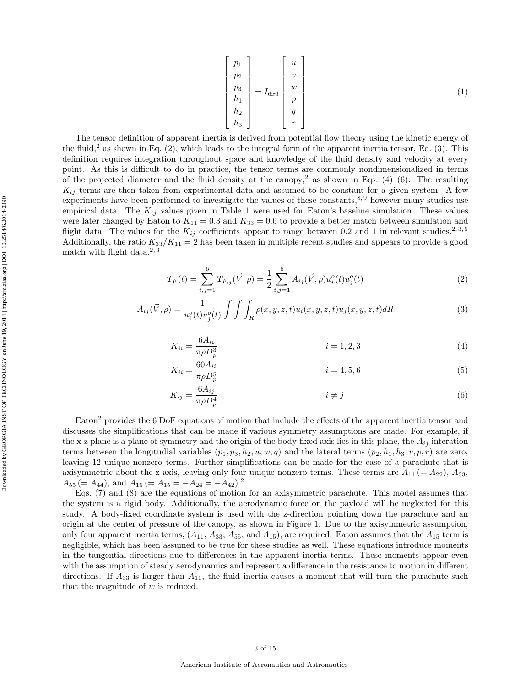$$
\begin{bmatrix} p_1 \\ p_2 \\ p_3 \\ h_1 \\ h_2 \\ h_3 \end{bmatrix} = I_{6x6} \begin{bmatrix} u \\ v \\ w \\ p \\ p \\ q \\ q \\ r \end{bmatrix}
$$
 (1)

The tensor definition of apparent inertia is derived from potential flow theory using the kinetic energy of the fluid,<sup>2</sup> as shown in Eq.  $(2)$ , which leads to the integral form of the apparent inertia tensor, Eq.  $(3)$ . This definition requires integration throughout space and knowledge of the fluid density and velocity at every point. As this is difficult to do in practice, the tensor terms are commonly nondimensionalized in terms of the projected diameter and the fluid density at the canopy,<sup>2</sup> as shown in Eqs. (4)–(6). The resulting  $K_{ij}$  terms are then taken from experimental data and assumed to be constant for a given system. A few experiments have been performed to investigate the values of these constants,  $8.9$  however many studies use empirical data. The  $K_{ij}$  values given in Table 1 were used for Eaton's baseline simulation. These values were later changed by Eaton to  $K_{11} = 0.3$  and  $K_{33} = 0.6$  to provide a better match between simulation and flight data. The values for the  $K_{ij}$  coefficients appear to range between 0.2 and 1 in relevant studies.<sup>2,3,5</sup> Additionally, the ratio  $K_{33}/K_{11} = 2$  has been taken in multiple recent studies and appears to provide a good match with flight data. $^{2,3}$ 

$$
T_F(t) = \sum_{i,j=1}^{6} T_{F_{ij}}(\vec{V}, \rho) = \frac{1}{2} \sum_{i,j=1}^{6} A_{ij}(\vec{V}, \rho) u_i^o(t) u_j^o(t)
$$
 (2)

$$
A_{ij}(\vec{V}, \rho) = \frac{1}{u_i^o(t)u_j^o(t)} \int \int \int_R \rho(x, y, z, t)u_i(x, y, z, t)u_j(x, y, z, t) dR
$$
\n(3)

$$
K_{ii} = \frac{6A_{ii}}{\pi \rho D_p^3} \qquad i = 1, 2, 3 \tag{4}
$$

$$
K_{ii} = \frac{60A_{ii}}{\pi \rho D_p^5} \qquad i = 4, 5, 6 \tag{5}
$$

$$
K_{ij} = \frac{6A_{ij}}{\pi \rho D_p^4} \qquad i \neq j \tag{6}
$$

Eaton<sup>2</sup> provides the 6 DoF equations of motion that include the effects of the apparent inertia tensor and discusses the simplifications that can be made if various symmetry assumptions are made. For example, if the x-z plane is a plane of symmetry and the origin of the body-fixed axis lies in this plane, the  $A_{ij}$  interation terms between the longitudial variables  $(p_1, p_3, h_2, u, w, q)$  and the lateral terms  $(p_2, h_1, h_3, v, p, r)$  are zero, leaving 12 unique nonzero terms. Further simplifications can be made for the case of a parachute that is axisymmetric about the z axis, leaving only four unique nonzero terms. These terms are  $A_{11} (= A_{22})$ ,  $A_{33}$ ,  $A_{55} (= A_{44}),$  and  $A_{15} (= A_{15} = -A_{24} = -A_{42}).^2$ 

Eqs. (7) and (8) are the equations of motion for an axisymmetric parachute. This model assumes that the system is a rigid body. Additionally, the aerodynamic force on the payload will be neglected for this study. A body-fixed coordinate system is used with the z-direction pointing down the parachute and an origin at the center of pressure of the canopy, as shown in Figure 1. Due to the axisymmetric assumption, only four apparent inertia terms,  $(A_{11}, A_{33}, A_{55}$ , and  $A_{15}$ ), are required. Eaton assumes that the  $A_{15}$  term is negligible, which has been assumed to be true for these studies as well. These equations introduce moments in the tangential directions due to differences in the apparent inertia terms. These moments appear even with the assumption of steady aerodynamics and represent a difference in the resistance to motion in different directions. If  $A_{33}$  is larger than  $A_{11}$ , the fluid inertia causes a moment that will turn the parachute such that the magnitude of  $w$  is reduced.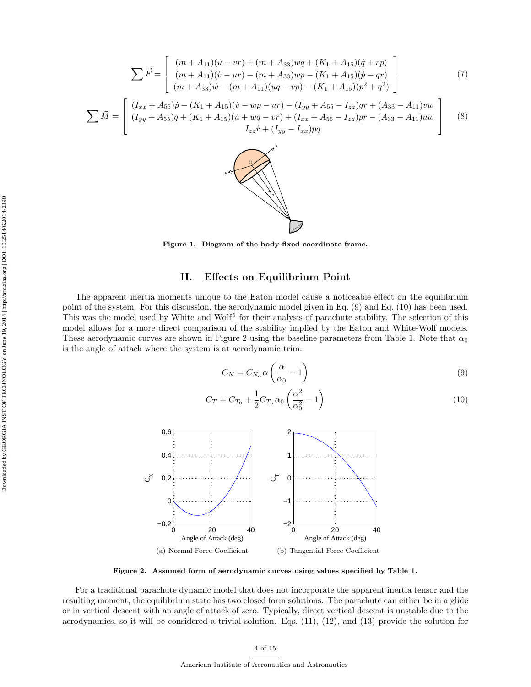$$
\sum \vec{F} = \begin{bmatrix} (m + A_{11})(\dot{u} - vr) + (m + A_{33})wq + (K_1 + A_{15})(\dot{q} + rp) \\ (m + A_{11})(\dot{v} - ur) - (m + A_{33})wp - (K_1 + A_{15})(\dot{p} - qr) \\ (m + A_{33})\dot{w} - (m + A_{11})(uq - vp) - (K_1 + A_{15})(p^2 + q^2) \end{bmatrix}
$$
(7)  

$$
\sum \vec{M} = \begin{bmatrix} (I_{xx} + A_{55})\dot{p} - (K_1 + A_{15})(\dot{v} - wp - ur) - (I_{yy} + A_{55} - I_{zz})qr + (A_{33} - A_{11})vw \\ (I_{yy} + A_{55})\dot{q} + (K_1 + A_{15})(\dot{u} + wq - vr) + (I_{xx} + A_{55} - I_{zz})pr - (A_{33} - A_{11})uw \\ I_{zz}\dot{r} + (I_{yy} - I_{xx})pq \end{bmatrix}
$$
(8)

z١

Figure 1. Diagram of the body-fixed coordinate frame.

# II. Effects on Equilibrium Point

The apparent inertia moments unique to the Eaton model cause a noticeable effect on the equilibrium point of the system. For this discussion, the aerodynamic model given in Eq. (9) and Eq. (10) has been used. This was the model used by White and Wolf<sup>5</sup> for their analysis of parachute stability. The selection of this model allows for a more direct comparison of the stability implied by the Eaton and White-Wolf models. These aerodynamic curves are shown in Figure 2 using the baseline parameters from Table 1. Note that  $\alpha_0$ is the angle of attack where the system is at aerodynamic trim.

$$
C_N = C_{N_\alpha} \alpha \left(\frac{\alpha}{\alpha_0} - 1\right) \tag{9}
$$

$$
C_T = C_{T_0} + \frac{1}{2} C_{T_\alpha} \alpha_0 \left( \frac{\alpha^2}{\alpha_0^2} - 1 \right)
$$
\n
$$
\tag{10}
$$



Figure 2. Assumed form of aerodynamic curves using values specified by Table 1.

For a traditional parachute dynamic model that does not incorporate the apparent inertia tensor and the resulting moment, the equilibrium state has two closed form solutions. The parachute can either be in a glide or in vertical descent with an angle of attack of zero. Typically, direct vertical descent is unstable due to the aerodynamics, so it will be considered a trivial solution. Eqs. (11), (12), and (13) provide the solution for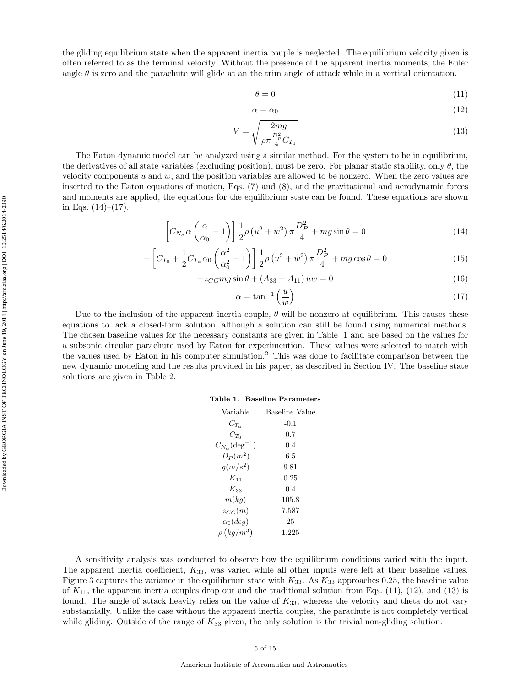the gliding equilibrium state when the apparent inertia couple is neglected. The equilibrium velocity given is often referred to as the terminal velocity. Without the presence of the apparent inertia moments, the Euler angle  $\theta$  is zero and the parachute will glide at an the trim angle of attack while in a vertical orientation.

$$
\theta = 0 \tag{11}
$$

$$
\alpha = \alpha_0 \tag{12}
$$

$$
V = \sqrt{\frac{2mg}{\rho \pi \frac{D_p^2}{4} C_{T_0}}}
$$
\n(13)

The Eaton dynamic model can be analyzed using a similar method. For the system to be in equilibrium, the derivatives of all state variables (excluding position), must be zero. For planar static stability, only  $\theta$ , the velocity components  $u$  and  $w$ , and the position variables are allowed to be nonzero. When the zero values are inserted to the Eaton equations of motion, Eqs. (7) and (8), and the gravitational and aerodynamic forces and moments are applied, the equations for the equilibrium state can be found. These equations are shown in Eqs.  $(14)–(17)$ .

$$
\[C_{N_{\alpha}}\alpha\left(\frac{\alpha}{\alpha_{0}}-1\right)\] \frac{1}{2}\rho\left(u^{2}+w^{2}\right)\pi\frac{D_{P}^{2}}{4} + mg\sin\theta = 0\tag{14}
$$

$$
-\left[C_{T_0} + \frac{1}{2}C_{T_\alpha}\alpha_0\left(\frac{\alpha^2}{\alpha_0^2} - 1\right)\right] \frac{1}{2}\rho\left(u^2 + w^2\right)\pi \frac{D_P^2}{4} + mg\cos\theta = 0\tag{15}
$$

 $-z_{CG}mg\sin\theta + (A_{33} - A_{11})uw = 0$  (16)

$$
\alpha = \tan^{-1}\left(\frac{u}{w}\right) \tag{17}
$$

Due to the inclusion of the apparent inertia couple,  $\theta$  will be nonzero at equilibrium. This causes these equations to lack a closed-form solution, although a solution can still be found using numerical methods. The chosen baseline values for the necessary constants are given in Table 1 and are based on the values for a subsonic circular parachute used by Eaton for experimention. These values were selected to match with the values used by Eaton in his computer simulation.<sup>2</sup> This was done to facilitate comparison between the new dynamic modeling and the results provided in his paper, as described in Section IV. The baseline state solutions are given in Table 2.

|  |  | Table 1. Baseline Parameters |
|--|--|------------------------------|
|--|--|------------------------------|

| Variable                          | Baseline Value |
|-----------------------------------|----------------|
| $C_{T_{\infty}}$                  | $-0.1$         |
| $C_{T_0}$                         | 0.7            |
| $C_{N_{\alpha}}(\text{deg}^{-1})$ | 0.4            |
| $D_P(m^2)$                        | 6.5            |
| $g(m/s^2)$                        | 9.81           |
| $K_{11}$                          | 0.25           |
| $K_{33}$                          | 0.4            |
| m(kq)                             | 105.8          |
| $z_{CG}(m)$                       | 7.587          |
| $\alpha_0 (deq)$                  | 25             |
| $\rho (kg/m^3)$                   | 1.225          |
|                                   |                |

A sensitivity analysis was conducted to observe how the equilibrium conditions varied with the input. The apparent inertia coefficient, K33, was varied while all other inputs were left at their baseline values. Figure 3 captures the variance in the equilibrium state with  $K_{33}$ . As  $K_{33}$  approaches 0.25, the baseline value of  $K_{11}$ , the apparent inertia couples drop out and the traditional solution from Eqs. (11), (12), and (13) is found. The angle of attack heavily relies on the value of  $K_{33}$ , whereas the velocity and theta do not vary substantially. Unlike the case without the apparent inertia couples, the parachute is not completely vertical while gliding. Outside of the range of  $K_{33}$  given, the only solution is the trivial non-gliding solution.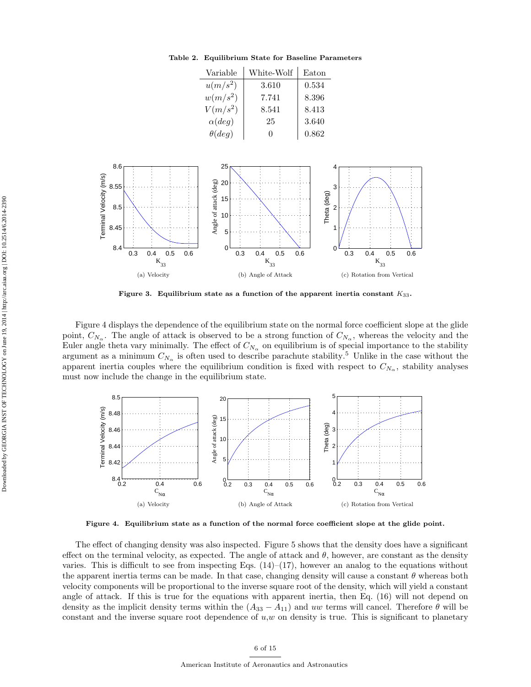| Variable      | White-Wolf | Eaton |
|---------------|------------|-------|
| $u(m/s^2)$    | 3.610      | 0.534 |
| $w(m/s^2)$    | 7.741      | 8.396 |
| $V(m/s^2)$    | 8.541      | 8.413 |
| $\alpha(deg)$ | 25         | 3.640 |
| $\theta(deg)$ | 0          | 0.862 |

Table 2. Equilibrium State for Baseline Parameters



Figure 3. Equilibrium state as a function of the apparent inertia constant  $K_{33}$ .

Figure 4 displays the dependence of the equilibrium state on the normal force coefficient slope at the glide point,  $C_{N_\alpha}$ . The angle of attack is observed to be a strong function of  $C_{N_\alpha}$ , whereas the velocity and the Euler angle theta vary minimally. The effect of  $C_{N_\alpha}$  on equilibrium is of special importance to the stability argument as a minimum  $C_{N_{\alpha}}$  is often used to describe parachute stability.<sup>5</sup> Unlike in the case without the apparent inertia couples where the equilibrium condition is fixed with respect to  $C_{N_{\alpha}}$ , stability analyses must now include the change in the equilibrium state.



Figure 4. Equilibrium state as a function of the normal force coefficient slope at the glide point.

The effect of changing density was also inspected. Figure 5 shows that the density does have a significant effect on the terminal velocity, as expected. The angle of attack and  $\theta$ , however, are constant as the density varies. This is difficult to see from inspecting Eqs.  $(14)$ – $(17)$ , however an analog to the equations without the apparent inertia terms can be made. In that case, changing density will cause a constant  $\theta$  whereas both velocity components will be proportional to the inverse square root of the density, which will yield a constant angle of attack. If this is true for the equations with apparent inertia, then Eq. (16) will not depend on density as the implicit density terms within the  $(A_{33} - A_{11})$  and uw terms will cancel. Therefore  $\theta$  will be constant and the inverse square root dependence of  $u, w$  on density is true. This is significant to planetary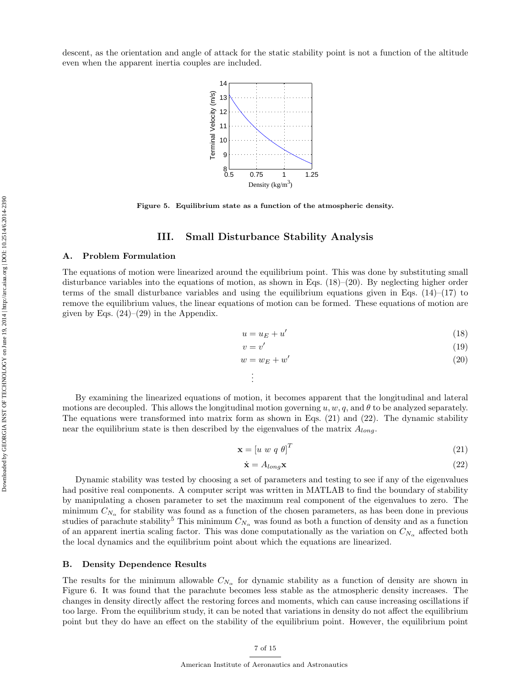descent, as the orientation and angle of attack for the static stability point is not a function of the altitude even when the apparent inertia couples are included.



Figure 5. Equilibrium state as a function of the atmospheric density.

### III. Small Disturbance Stability Analysis

### A. Problem Formulation

The equations of motion were linearized around the equilibrium point. This was done by substituting small disturbance variables into the equations of motion, as shown in Eqs.  $(18)-(20)$ . By neglecting higher order terms of the small disturbance variables and using the equilibrium equations given in Eqs.  $(14)$ – $(17)$  to remove the equilibrium values, the linear equations of motion can be formed. These equations of motion are given by Eqs.  $(24)$ – $(29)$  in the Appendix.

$$
u = u_E + u'
$$
\n<sup>(18)</sup>

$$
v = v'
$$
 (19)

$$
w = w_E + w'
$$
\n<sup>(20)</sup>

By examining the linearized equations of motion, it becomes apparent that the longitudinal and lateral motions are decoupled. This allows the longitudinal motion governing  $u, w, q$ , and  $\theta$  to be analyzed separately. The equations were transformed into matrix form as shown in Eqs. (21) and (22). The dynamic stability near the equilibrium state is then described by the eigenvalues of the matrix  $A_{long}$ .

. . .

$$
\mathbf{x} = \begin{bmatrix} u & w & q & \theta \end{bmatrix}^T \tag{21}
$$

$$
\dot{\mathbf{x}} = A_{long} \mathbf{x} \tag{22}
$$

Dynamic stability was tested by choosing a set of parameters and testing to see if any of the eigenvalues had positive real components. A computer script was written in MATLAB to find the boundary of stability by manipulating a chosen parameter to set the maximum real component of the eigenvalues to zero. The minimum  $C_{N_\alpha}$  for stability was found as a function of the chosen parameters, as has been done in previous studies of parachute stability<sup>5</sup> This minimum  $C_{N_\alpha}$  was found as both a function of density and as a function of an apparent inertia scaling factor. This was done computationally as the variation on  $C_{N_\alpha}$  affected both the local dynamics and the equilibrium point about which the equations are linearized.

#### B. Density Dependence Results

The results for the minimum allowable  $C_{N_{\alpha}}$  for dynamic stability as a function of density are shown in Figure 6. It was found that the parachute becomes less stable as the atmospheric density increases. The changes in density directly affect the restoring forces and moments, which can cause increasing oscillations if too large. From the equilibrium study, it can be noted that variations in density do not affect the equilibrium point but they do have an effect on the stability of the equilibrium point. However, the equilibrium point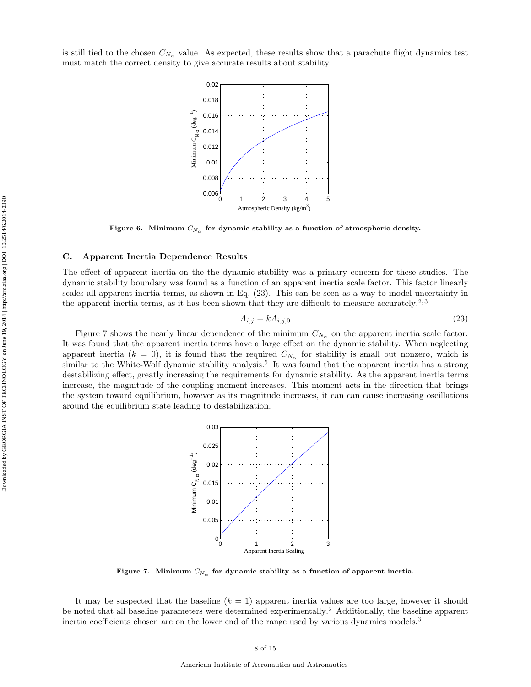is still tied to the chosen  $C_{N_{\alpha}}$  value. As expected, these results show that a parachute flight dynamics test must match the correct density to give accurate results about stability.



Figure 6. Minimum  $C_{N_\alpha}$  for dynamic stability as a function of atmospheric density.

#### C. Apparent Inertia Dependence Results

The effect of apparent inertia on the the dynamic stability was a primary concern for these studies. The dynamic stability boundary was found as a function of an apparent inertia scale factor. This factor linearly scales all apparent inertia terms, as shown in Eq. (23). This can be seen as a way to model uncertainty in the apparent inertia terms, as it has been shown that they are difficult to measure accurately.<sup>2, 3</sup>

$$
A_{i,j} = k A_{i,j,0} \tag{23}
$$

Figure 7 shows the nearly linear dependence of the minimum  $C_{N_{\alpha}}$  on the apparent inertia scale factor. It was found that the apparent inertia terms have a large effect on the dynamic stability. When neglecting apparent inertia  $(k = 0)$ , it is found that the required  $C_{N_{\alpha}}$  for stability is small but nonzero, which is similar to the White-Wolf dynamic stability analysis.<sup>5</sup> It was found that the apparent inertia has a strong destabilizing effect, greatly increasing the requirements for dynamic stability. As the apparent inertia terms increase, the magnitude of the coupling moment increases. This moment acts in the direction that brings the system toward equilibrium, however as its magnitude increases, it can can cause increasing oscillations around the equilibrium state leading to destabilization.



Figure 7. Minimum  $C_{N_\alpha}$  for dynamic stability as a function of apparent inertia.

It may be suspected that the baseline  $(k = 1)$  apparent inertia values are too large, however it should be noted that all baseline parameters were determined experimentally.<sup>2</sup> Additionally, the baseline apparent inertia coefficients chosen are on the lower end of the range used by various dynamics models.<sup>3</sup>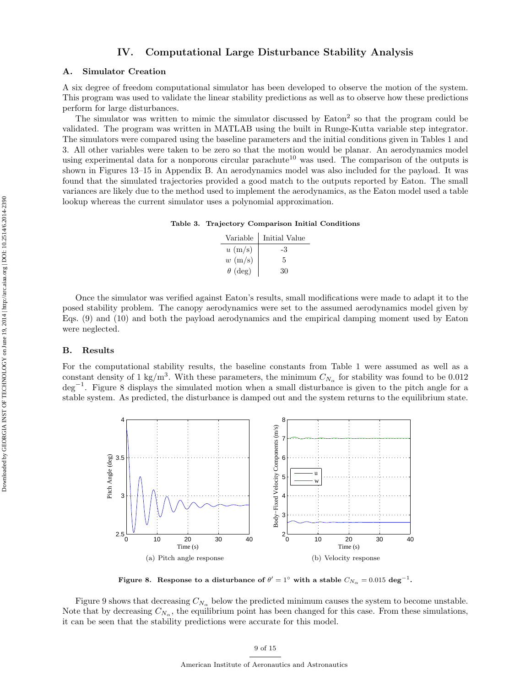## IV. Computational Large Disturbance Stability Analysis

### A. Simulator Creation

A six degree of freedom computational simulator has been developed to observe the motion of the system. This program was used to validate the linear stability predictions as well as to observe how these predictions perform for large disturbances.

The simulator was written to mimic the simulator discussed by Eaton<sup>2</sup> so that the program could be validated. The program was written in MATLAB using the built in Runge-Kutta variable step integrator. The simulators were compared using the baseline parameters and the initial conditions given in Tables 1 and 3. All other variables were taken to be zero so that the motion would be planar. An aerodynamics model using experimental data for a nonporous circular parachute<sup>10</sup> was used. The comparison of the outputs is shown in Figures 13–15 in Appendix B. An aerodynamics model was also included for the payload. It was found that the simulated trajectories provided a good match to the outputs reported by Eaton. The small variances are likely due to the method used to implement the aerodynamics, as the Eaton model used a table lookup whereas the current simulator uses a polynomial approximation.

Table 3. Trajectory Comparison Initial Conditions

| Variable          | Initial Value |
|-------------------|---------------|
| $u \text{ (m/s)}$ | -3            |
| $w \text{ (m/s)}$ | 5             |
| $\theta$ (deg)    | 30            |

Once the simulator was verified against Eaton's results, small modifications were made to adapt it to the posed stability problem. The canopy aerodynamics were set to the assumed aerodynamics model given by Eqs. (9) and (10) and both the payload aerodynamics and the empirical damping moment used by Eaton were neglected.

#### B. Results

For the computational stability results, the baseline constants from Table 1 were assumed as well as a constant density of 1 kg/m<sup>3</sup>. With these parameters, the minimum  $C_{N_{\alpha}}$  for stability was found to be 0.012 deg<sup>-1</sup>. Figure 8 displays the simulated motion when a small disturbance is given to the pitch angle for a stable system. As predicted, the disturbance is damped out and the system returns to the equilibrium state.



Figure 8. Response to a disturbance of  $\theta'=1^{\circ}$  with a stable  $C_{N_{\alpha}}=0.015\,\deg^{-1}$ .

Figure 9 shows that decreasing  $C_{N_{\alpha}}$  below the predicted minimum causes the system to become unstable. Note that by decreasing  $C_{N_\alpha}$ , the equilibrium point has been changed for this case. From these simulations, it can be seen that the stability predictions were accurate for this model.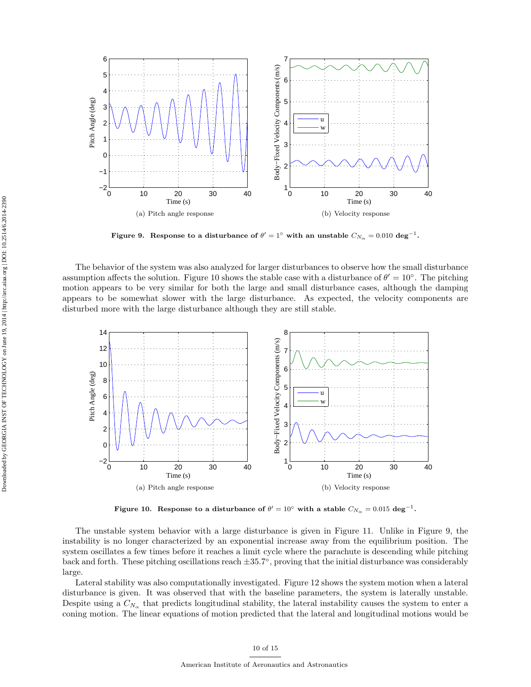

Figure 9. Response to a disturbance of  $\theta'=1^{\circ}$  with an unstable  $C_{N_{\alpha}}=0.010\,\deg^{-1}$ .

The behavior of the system was also analyzed for larger disturbances to observe how the small disturbance assumption affects the solution. Figure 10 shows the stable case with a disturbance of  $\theta' = 10^{\circ}$ . The pitching motion appears to be very similar for both the large and small disturbance cases, although the damping appears to be somewhat slower with the large disturbance. As expected, the velocity components are disturbed more with the large disturbance although they are still stable.



Figure 10. Response to a disturbance of  $\theta'=10^\circ$  with a stable  $C_{N_\alpha}=0.015\,\deg^{-1}$ .

The unstable system behavior with a large disturbance is given in Figure 11. Unlike in Figure 9, the instability is no longer characterized by an exponential increase away from the equilibrium position. The system oscillates a few times before it reaches a limit cycle where the parachute is descending while pitching back and forth. These pitching oscillations reach  $\pm 35.7^{\circ}$ , proving that the initial disturbance was considerably large.

Lateral stability was also computationally investigated. Figure 12 shows the system motion when a lateral disturbance is given. It was observed that with the baseline parameters, the system is laterally unstable. Despite using a  $C_{N_\alpha}$  that predicts longitudinal stability, the lateral instability causes the system to enter a coning motion. The linear equations of motion predicted that the lateral and longitudinal motions would be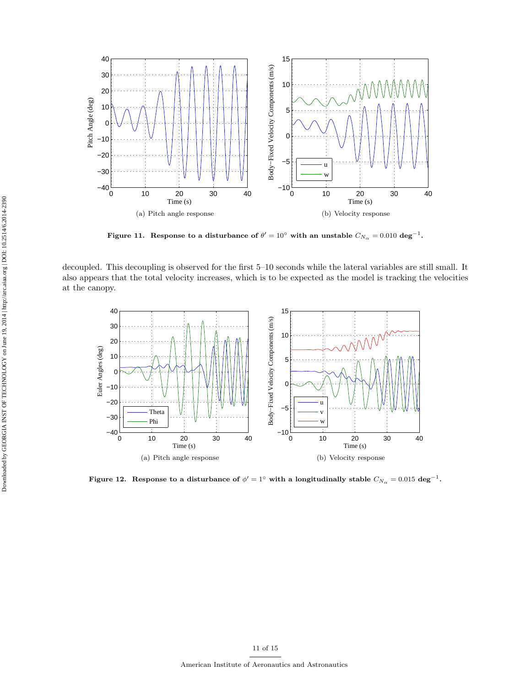

Figure 11. Response to a disturbance of  $\theta' = 10^{\circ}$  with an unstable  $C_{N_{\alpha}} = 0.010 \text{ deg}^{-1}$ .

decoupled. This decoupling is observed for the first 5–10 seconds while the lateral variables are still small. It also appears that the total velocity increases, which is to be expected as the model is tracking the velocities at the canopy.



Figure 12. Response to a disturbance of  $\phi'=1^\circ$  with a longitudinally stable  $C_{N_\alpha}=0.015\,\deg^{-1}$ .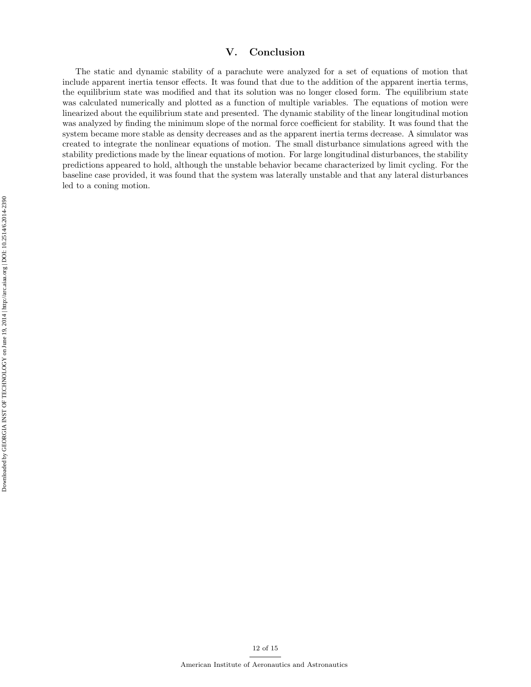# V. Conclusion

The static and dynamic stability of a parachute were analyzed for a set of equations of motion that include apparent inertia tensor effects. It was found that due to the addition of the apparent inertia terms, the equilibrium state was modified and that its solution was no longer closed form. The equilibrium state was calculated numerically and plotted as a function of multiple variables. The equations of motion were linearized about the equilibrium state and presented. The dynamic stability of the linear longitudinal motion was analyzed by finding the minimum slope of the normal force coefficient for stability. It was found that the system became more stable as density decreases and as the apparent inertia terms decrease. A simulator was created to integrate the nonlinear equations of motion. The small disturbance simulations agreed with the stability predictions made by the linear equations of motion. For large longitudinal disturbances, the stability predictions appeared to hold, although the unstable behavior became characterized by limit cycling. For the baseline case provided, it was found that the system was laterally unstable and that any lateral disturbances led to a coning motion.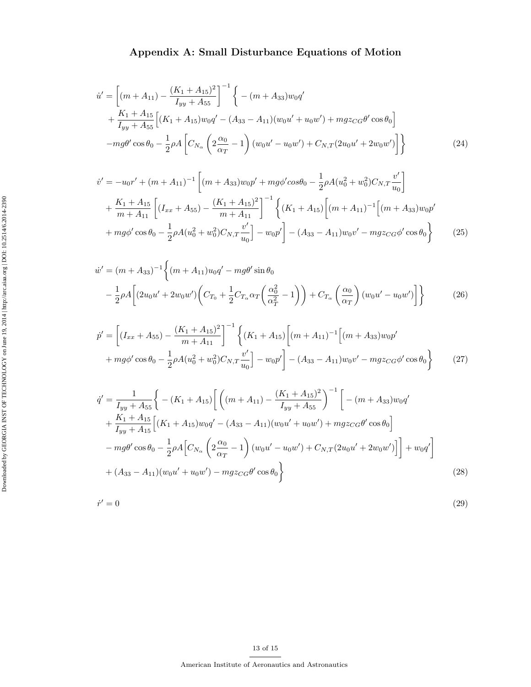# Appendix A: Small Disturbance Equations of Motion

$$
\dot{u}' = \left[ (m + A_{11}) - \frac{(K_1 + A_{15})^2}{I_{yy} + A_{55}} \right]^{-1} \left\{ -(m + A_{33})w_0 q' + \frac{K_1 + A_{15}}{I_{yy} + A_{55}} \left[ (K_1 + A_{15})w_0 q' - (A_{33} - A_{11})(w_0 u' + u_0 w') + mgz_{CG} \theta' \cos \theta_0 \right] \right.\n-mg\theta' \cos \theta_0 - \frac{1}{2} \rho A \left[ C_{N_{\alpha}} \left( 2\frac{\alpha_0}{\alpha_T} - 1 \right) (w_0 u' - u_0 w') + C_{N,T} (2u_0 u' + 2w_0 w') \right] \right\}
$$
\n(24)

$$
\dot{v}' = -u_0 r' + (m + A_{11})^{-1} \left[ (m + A_{33}) w_0 p' + mg \phi' \cos \theta_0 - \frac{1}{2} \rho A (u_0^2 + w_0^2) C_{N,T} \frac{v'}{u_0} \right] \n+ \frac{K_1 + A_{15}}{m + A_{11}} \left[ (I_{xx} + A_{55}) - \frac{(K_1 + A_{15})^2}{m + A_{11}} \right]^{-1} \left\{ (K_1 + A_{15}) \left[ (m + A_{11})^{-1} \left[ (m + A_{33}) w_0 p' + mg \phi' \cos \theta_0 - \frac{1}{2} \rho A (u_0^2 + w_0^2) C_{N,T} \frac{v'}{u_0} \right] - w_0 p' \right] - (A_{33} - A_{11}) w_0 v' - mg z_{CG} \phi' \cos \theta_0 \right\}
$$
\n(25)

$$
\dot{w}' = (m + A_{33})^{-1} \left\{ (m + A_{11}) u_0 q' - mg\theta' \sin \theta_0 \right\}
$$
  

$$
- \frac{1}{2} \rho A \left[ (2u_0 u' + 2w_0 w') \left( C_{T_0} + \frac{1}{2} C_{T_\alpha} \alpha_T \left( \frac{\alpha_0^2}{\alpha_T^2} - 1 \right) \right) + C_{T_\alpha} \left( \frac{\alpha_0}{\alpha_T} \right) (w_0 u' - u_0 w') \right] \right\}
$$
(26)

$$
\dot{p}' = \left[ (I_{xx} + A_{55}) - \frac{(K_1 + A_{15})^2}{m + A_{11}} \right]^{-1} \left\{ (K_1 + A_{15}) \left[ (m + A_{11})^{-1} \left[ (m + A_{33}) w_0 p' + mg\phi' \cos \theta_0 - \frac{1}{2} \rho A (u_0^2 + w_0^2) C_{N,T} \frac{v'}{u_0} \right] - (A_{33} - A_{11}) w_0 v' - mgz_{CG} \phi' \cos \theta_0 \right\} \tag{27}
$$

$$
\dot{q}' = \frac{1}{I_{yy} + A_{55}} \Bigg\{ -(K_1 + A_{15}) \Bigg[ \Big( (m + A_{11}) - \frac{(K_1 + A_{15})^2}{I_{yy} + A_{55}} \Bigg)^{-1} \Bigg[ -(m + A_{33}) w_0 q' \n+ \frac{K_1 + A_{15}}{I_{yy} + A_{15}} \Big[ (K_1 + A_{15}) w_0 q' - (A_{33} - A_{11}) (w_0 u' + u_0 w') + m g z_{CG} \theta' \cos \theta_0 \Bigg] \n- m g \theta' \cos \theta_0 - \frac{1}{2} \rho A \Big[ C_{N_\alpha} \Big( 2 \frac{\alpha_0}{\alpha_T} - 1 \Big) (w_0 u' - u_0 w') + C_{N,T} (2 u_0 u' + 2 w_0 w') \Big] \Bigg] + w_0 q' \Bigg] \n+ (A_{33} - A_{11}) (w_0 u' + u_0 w') - m g z_{CG} \theta' \cos \theta_0 \Bigg\}
$$
\n(28)

$$
\dot{r}' = 0\tag{29}
$$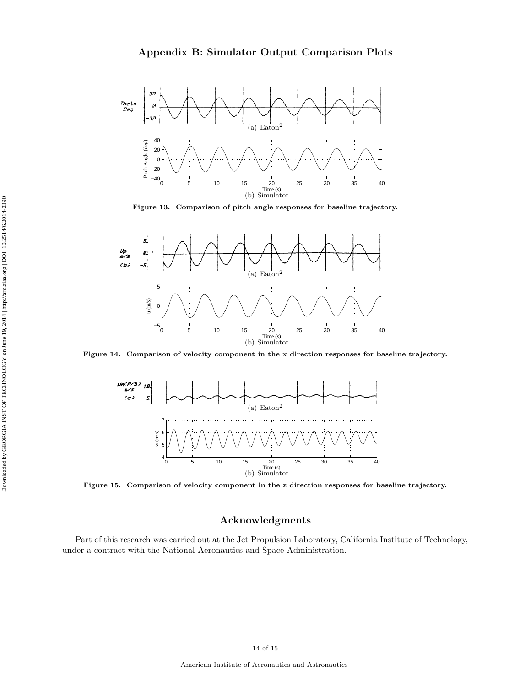

Figure 13. Comparison of pitch angle responses for baseline trajectory.



Figure 14. Comparison of velocity component in the x direction responses for baseline trajectory.



Figure 15. Comparison of velocity component in the z direction responses for baseline trajectory.

# Acknowledgments

Part of this research was carried out at the Jet Propulsion Laboratory, California Institute of Technology, under a contract with the National Aeronautics and Space Administration.